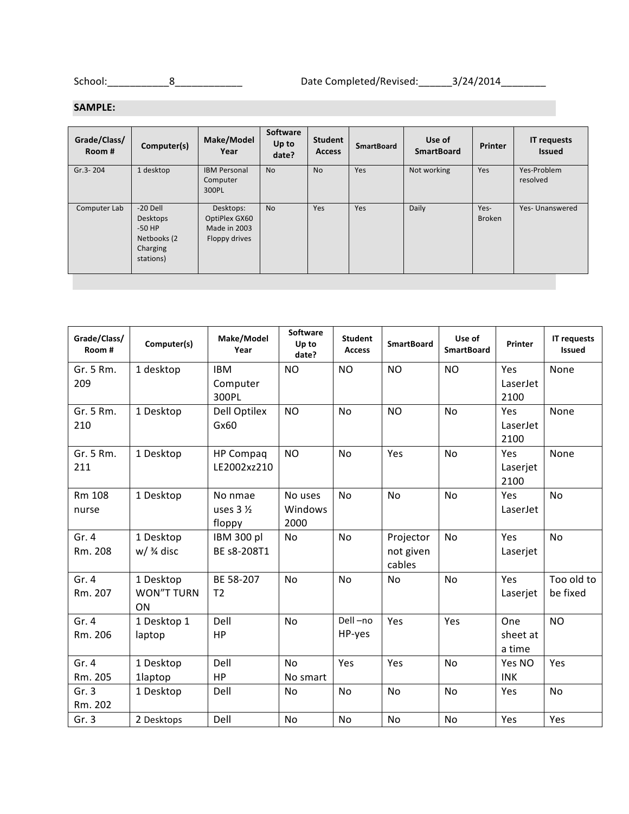School:\_\_\_\_\_\_\_\_\_\_\_8\_\_\_\_\_\_\_\_\_\_\_\_ Date Completed/Revised:\_\_\_\_\_\_3/24/2014\_\_\_\_\_\_\_\_

## **SAMPLE:**

| Grade/Class/<br>Room # | Computer(s)                                                                | Make/Model<br>Year                                          | Software<br>Up to<br>date? | <b>Student</b><br><b>Access</b> | <b>SmartBoard</b> | Use of<br><b>SmartBoard</b> | <b>Printer</b>        | <b>IT requests</b><br><b>Issued</b> |
|------------------------|----------------------------------------------------------------------------|-------------------------------------------------------------|----------------------------|---------------------------------|-------------------|-----------------------------|-----------------------|-------------------------------------|
| Gr.3-204               | 1 desktop                                                                  | <b>IBM Personal</b><br>Computer<br>300PL                    | <b>No</b>                  | <b>No</b>                       | Yes               | Not working                 | Yes                   | Yes-Problem<br>resolved             |
| Computer Lab           | $-20$ Dell<br>Desktops<br>$-50$ HP<br>Netbooks (2<br>Charging<br>stations) | Desktops:<br>OptiPlex GX60<br>Made in 2003<br>Floppy drives | <b>No</b>                  | Yes                             | Yes               | Daily                       | Yes-<br><b>Broken</b> | Yes- Unanswered                     |

| Grade/Class/<br>Room# | Computer(s) | Make/Model<br>Year  | <b>Software</b><br>Up to<br>date? | <b>Student</b><br><b>Access</b> | <b>SmartBoard</b> | Use of<br><b>SmartBoard</b> | Printer    | <b>IT requests</b><br><b>Issued</b> |
|-----------------------|-------------|---------------------|-----------------------------------|---------------------------------|-------------------|-----------------------------|------------|-------------------------------------|
| Gr. 5 Rm.             | 1 desktop   | <b>IBM</b>          | <b>NO</b>                         | <b>NO</b>                       | <b>NO</b>         | <b>NO</b>                   | Yes        | None                                |
| 209                   |             | Computer            |                                   |                                 |                   |                             | LaserJet   |                                     |
|                       |             | 300PL               |                                   |                                 |                   |                             | 2100       |                                     |
| Gr. 5 Rm.             | 1 Desktop   | Dell Optilex        | <b>NO</b>                         | <b>No</b>                       | <b>NO</b>         | <b>No</b>                   | Yes        | None                                |
| 210                   |             | Gx60                |                                   |                                 |                   |                             | LaserJet   |                                     |
|                       |             |                     |                                   |                                 |                   |                             | 2100       |                                     |
| Gr. 5 Rm.             | 1 Desktop   | <b>HP Compaq</b>    | <b>NO</b>                         | No                              | Yes               | No                          | Yes        | None                                |
| 211                   |             | LE2002xz210         |                                   |                                 |                   |                             | Laserjet   |                                     |
|                       |             |                     |                                   |                                 |                   |                             | 2100       |                                     |
| Rm 108                | 1 Desktop   | No nmae             | No uses                           | No                              | <b>No</b>         | No                          | Yes        | <b>No</b>                           |
| nurse                 |             | uses $3\frac{1}{2}$ | Windows                           |                                 |                   |                             | LaserJet   |                                     |
|                       |             | floppy              | 2000                              |                                 |                   |                             |            |                                     |
| Gr. 4                 | 1 Desktop   | IBM 300 pl          | No                                | No                              | Projector         | No                          | Yes        | No                                  |
| Rm. 208               | $w/$ % disc | BE s8-208T1         |                                   |                                 | not given         |                             | Laserjet   |                                     |
|                       |             |                     |                                   |                                 | cables            |                             |            |                                     |
| Gr. 4                 | 1 Desktop   | BE 58-207           | No                                | N <sub>o</sub>                  | No                | No                          | Yes        | Too old to                          |
| Rm. 207               | WON"T TURN  | T <sub>2</sub>      |                                   |                                 |                   |                             | Laserjet   | be fixed                            |
|                       | <b>ON</b>   |                     |                                   |                                 |                   |                             |            |                                     |
| Gr.4                  | 1 Desktop 1 | Dell                | <b>No</b>                         | Dell-no                         | Yes               | Yes                         | One        | <b>NO</b>                           |
| Rm. 206               | laptop      | HP                  |                                   | HP-yes                          |                   |                             | sheet at   |                                     |
|                       |             |                     |                                   |                                 |                   |                             | a time     |                                     |
| Gr. 4                 | 1 Desktop   | Dell                | <b>No</b>                         | Yes                             | Yes               | No                          | Yes NO     | Yes                                 |
| Rm. 205               | 1laptop     | HP                  | No smart                          |                                 |                   |                             | <b>INK</b> |                                     |
| Gr.3                  | 1 Desktop   | Dell                | N <sub>o</sub>                    | No                              | <b>No</b>         | No                          | Yes        | No                                  |
| Rm. 202               |             |                     |                                   |                                 |                   |                             |            |                                     |
| Gr.3                  | 2 Desktops  | Dell                | No                                | No                              | <b>No</b>         | No                          | Yes        | Yes                                 |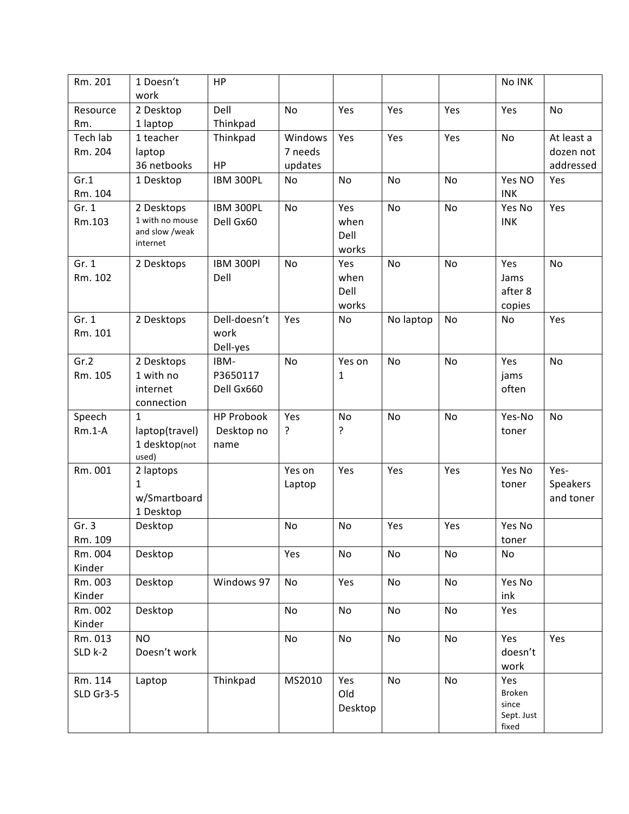| Rm. 201   | 1 Doesn't                         | HP                     |           |         |           |     | No INK          |            |
|-----------|-----------------------------------|------------------------|-----------|---------|-----------|-----|-----------------|------------|
|           | work                              |                        |           |         |           |     |                 |            |
| Resource  | 2 Desktop                         | Dell                   | <b>No</b> | Yes     | Yes       | Yes | Yes             | No         |
| Rm.       | 1 laptop                          | Thinkpad               |           |         |           |     |                 |            |
| Tech lab  | 1 teacher                         | Thinkpad               | Windows   | Yes     | Yes       | Yes | No              | At least a |
| Rm. 204   | laptop                            |                        | 7 needs   |         |           |     |                 | dozen not  |
|           | 36 netbooks                       | HP                     | updates   |         |           |     |                 | addressed  |
| Gr.1      | 1 Desktop                         | IBM 300PL              | No        | No      | No        | No  | Yes NO          | Yes        |
| Rm. 104   |                                   |                        |           |         |           |     | <b>INK</b>      |            |
| Gr. 1     | 2 Desktops                        | IBM 300PL              | No        | Yes     | No        | No  | Yes No          | Yes        |
| Rm.103    | 1 with no mouse<br>and slow /weak | Dell Gx60              |           | when    |           |     | <b>INK</b>      |            |
|           | internet                          |                        |           | Dell    |           |     |                 |            |
|           |                                   |                        |           | works   |           |     |                 |            |
| Gr. 1     | 2 Desktops                        | <b>IBM 300PI</b>       | <b>No</b> | Yes     | <b>No</b> | No  | Yes             | No         |
| Rm. 102   |                                   | Dell                   |           | when    |           |     | Jams            |            |
|           |                                   |                        |           | Dell    |           |     | after 8         |            |
|           |                                   |                        |           | works   |           |     | copies          |            |
| Gr. 1     | 2 Desktops                        | Dell-doesn't           | Yes       | No      | No laptop | No  | No              | Yes        |
| Rm. 101   |                                   | work                   |           |         |           |     |                 |            |
|           |                                   | Dell-yes               |           |         |           |     |                 |            |
| Gr.2      | 2 Desktops                        | IBM-                   | <b>No</b> | Yes on  | <b>No</b> | No  | Yes             | No         |
| Rm. 105   | 1 with no<br>internet             | P3650117<br>Dell Gx660 |           | 1       |           |     | jams<br>often   |            |
|           | connection                        |                        |           |         |           |     |                 |            |
| Speech    | $\mathbf{1}$                      | <b>HP Probook</b>      | Yes       | No      | <b>No</b> | No  | Yes-No          | No         |
| $Rm.1-A$  | laptop(travel)                    | Desktop no             | ?         | ŗ       |           |     | toner           |            |
|           | 1 desktop(not                     | name                   |           |         |           |     |                 |            |
|           | used)                             |                        |           |         |           |     |                 |            |
| Rm. 001   | 2 laptops                         |                        | Yes on    | Yes     | Yes       | Yes | Yes No          | Yes-       |
|           | $\mathbf{1}$                      |                        | Laptop    |         |           |     | toner           | Speakers   |
|           | w/Smartboard                      |                        |           |         |           |     |                 | and toner  |
|           | 1 Desktop                         |                        |           |         |           |     |                 |            |
| Gr.3      | Desktop                           |                        | No        | No      | Yes       | Yes | Yes No          |            |
| Rm. 109   |                                   |                        |           |         |           |     | toner           |            |
| Rm. 004   | Desktop                           |                        | Yes       | No      | No        | No  | No              |            |
| Kinder    |                                   |                        |           |         |           |     |                 |            |
| Rm. 003   | Desktop                           | Windows 97             | No        | Yes     | No        | No  | Yes No          |            |
| Kinder    |                                   |                        |           |         |           |     | ink             |            |
| Rm. 002   | Desktop                           |                        | No        | No      | No        | No  | Yes             |            |
| Kinder    |                                   |                        |           |         |           |     |                 |            |
| Rm. 013   | <b>NO</b>                         |                        | No        | No      | No        | No  | Yes             | Yes        |
| $SLD$ k-2 | Doesn't work                      |                        |           |         |           |     | doesn't         |            |
|           |                                   |                        |           |         |           |     | work            |            |
| Rm. 114   | Laptop                            | Thinkpad               | MS2010    | Yes     | No        | No  | Yes             |            |
| SLD Gr3-5 |                                   |                        |           | Old     |           |     | Broken<br>since |            |
|           |                                   |                        |           | Desktop |           |     | Sept. Just      |            |
|           |                                   |                        |           |         |           |     | fixed           |            |